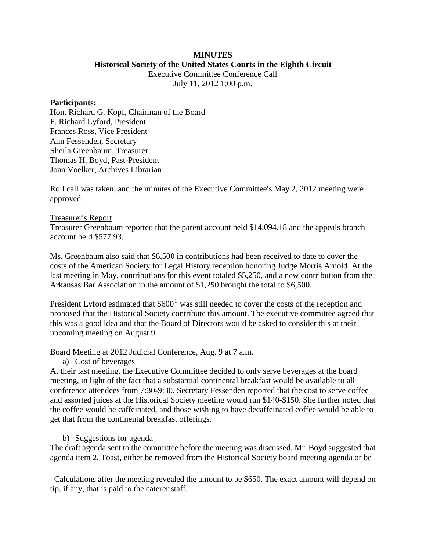#### **MINUTES Historical Society of the United States Courts in the Eighth Circuit**

Executive Committee Conference Call July 11, 2012 1:00 p.m.

#### **Participants:**

Hon. Richard G. Kopf, Chairman of the Board F. Richard Lyford, President Frances Ross, Vice President Ann Fessenden, Secretary Sheila Greenbaum, Treasurer Thomas H. Boyd, Past-President Joan Voelker, Archives Librarian

Roll call was taken, and the minutes of the Executive Committee's May 2, 2012 meeting were approved.

### Treasurer's Report

Treasurer Greenbaum reported that the parent account held \$14,094.18 and the appeals branch account held \$577.93.

Ms. Greenbaum also said that \$6,500 in contributions had been received to date to cover the costs of the American Society for Legal History reception honoring Judge Morris Arnold. At the last meeting in May, contributions for this event totaled \$5,250, and a new contribution from the Arkansas Bar Association in the amount of \$1,250 brought the total to \$6,500.

President Lyford estimated that  $$600<sup>1</sup>$  $$600<sup>1</sup>$  $$600<sup>1</sup>$  was still needed to cover the costs of the reception and proposed that the Historical Society contribute this amount. The executive committee agreed that this was a good idea and that the Board of Directors would be asked to consider this at their upcoming meeting on August 9.

### Board Meeting at 2012 Judicial Conference, Aug. 9 at 7 a.m.

### a) Cost of beverages

At their last meeting, the Executive Committee decided to only serve beverages at the board meeting, in light of the fact that a substantial continental breakfast would be available to all conference attendees from 7:30-9:30. Secretary Fessenden reported that the cost to serve coffee and assorted juices at the Historical Society meeting would run \$140-\$150. She further noted that the coffee would be caffeinated, and those wishing to have decaffeinated coffee would be able to get that from the continental breakfast offerings.

### b) Suggestions for agenda

The draft agenda sent to the committee before the meeting was discussed. Mr. Boyd suggested that agenda item 2, Toast, either be removed from the Historical Society board meeting agenda or be

<span id="page-0-0"></span> $1$  Calculations after the meeting revealed the amount to be \$650. The exact amount will depend on tip, if any, that is paid to the caterer staff.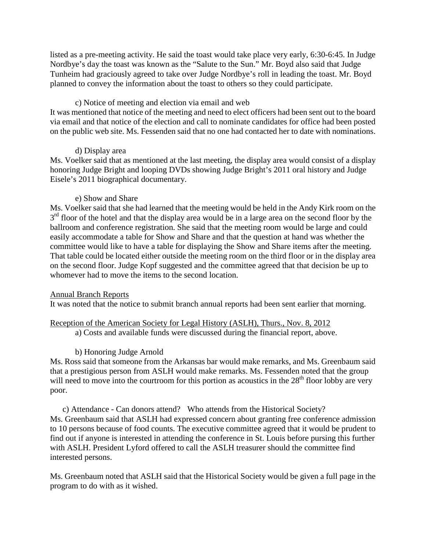listed as a pre-meeting activity. He said the toast would take place very early, 6:30-6:45. In Judge Nordbye's day the toast was known as the "Salute to the Sun." Mr. Boyd also said that Judge Tunheim had graciously agreed to take over Judge Nordbye's roll in leading the toast. Mr. Boyd planned to convey the information about the toast to others so they could participate.

## c) Notice of meeting and election via email and web

It was mentioned that notice of the meeting and need to elect officers had been sent out to the board via email and that notice of the election and call to nominate candidates for office had been posted on the public web site. Ms. Fessenden said that no one had contacted her to date with nominations.

## d) Display area

Ms. Voelker said that as mentioned at the last meeting, the display area would consist of a display honoring Judge Bright and looping DVDs showing Judge Bright's 2011 oral history and Judge Eisele's 2011 biographical documentary.

## e) Show and Share

Ms. Voelker said that she had learned that the meeting would be held in the Andy Kirk room on the  $3<sup>rd</sup>$  floor of the hotel and that the display area would be in a large area on the second floor by the ballroom and conference registration. She said that the meeting room would be large and could easily accommodate a table for Show and Share and that the question at hand was whether the committee would like to have a table for displaying the Show and Share items after the meeting. That table could be located either outside the meeting room on the third floor or in the display area on the second floor. Judge Kopf suggested and the committee agreed that that decision be up to whomever had to move the items to the second location.

### Annual Branch Reports

It was noted that the notice to submit branch annual reports had been sent earlier that morning.

# Reception of the American Society for Legal History (ASLH), Thurs., Nov. 8, 2012

a) Costs and available funds were discussed during the financial report, above.

# b) Honoring Judge Arnold

Ms. Ross said that someone from the Arkansas bar would make remarks, and Ms. Greenbaum said that a prestigious person from ASLH would make remarks. Ms. Fessenden noted that the group will need to move into the courtroom for this portion as acoustics in the  $28<sup>th</sup>$  floor lobby are very poor.

c) Attendance - Can donors attend? Who attends from the Historical Society? Ms. Greenbaum said that ASLH had expressed concern about granting free conference admission to 10 persons because of food counts. The executive committee agreed that it would be prudent to find out if anyone is interested in attending the conference in St. Louis before pursing this further with ASLH. President Lyford offered to call the ASLH treasurer should the committee find interested persons.

Ms. Greenbaum noted that ASLH said that the Historical Society would be given a full page in the program to do with as it wished.